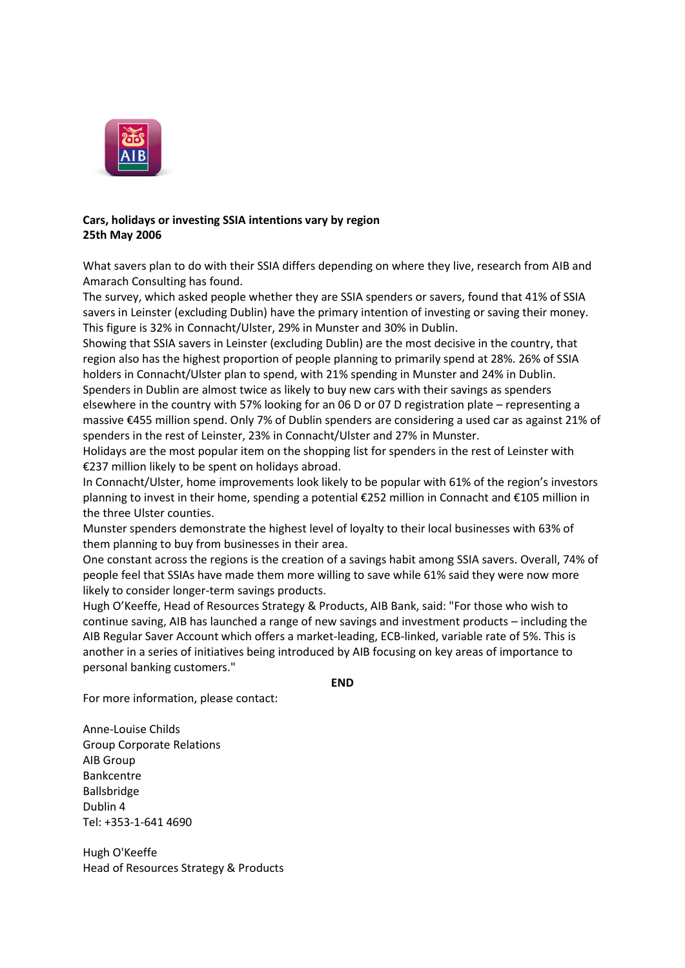

## **Cars, holidays or investing SSIA intentions vary by region 25th May 2006**

What savers plan to do with their SSIA differs depending on where they live, research from AIB and Amarach Consulting has found.

The survey, which asked people whether they are SSIA spenders or savers, found that 41% of SSIA savers in Leinster (excluding Dublin) have the primary intention of investing or saving their money. This figure is 32% in Connacht/Ulster, 29% in Munster and 30% in Dublin.

Showing that SSIA savers in Leinster (excluding Dublin) are the most decisive in the country, that region also has the highest proportion of people planning to primarily spend at 28%. 26% of SSIA holders in Connacht/Ulster plan to spend, with 21% spending in Munster and 24% in Dublin. Spenders in Dublin are almost twice as likely to buy new cars with their savings as spenders elsewhere in the country with 57% looking for an 06 D or 07 D registration plate – representing a massive €455 million spend. Only 7% of Dublin spenders are considering a used car as against 21% of

spenders in the rest of Leinster, 23% in Connacht/Ulster and 27% in Munster. Holidays are the most popular item on the shopping list for spenders in the rest of Leinster with

€237 million likely to be spent on holidays abroad. In Connacht/Ulster, home improvements look likely to be popular with 61% of the region's investors planning to invest in their home, spending a potential €252 million in Connacht and €105 million in the three Ulster counties.

Munster spenders demonstrate the highest level of loyalty to their local businesses with 63% of them planning to buy from businesses in their area.

One constant across the regions is the creation of a savings habit among SSIA savers. Overall, 74% of people feel that SSIAs have made them more willing to save while 61% said they were now more likely to consider longer-term savings products.

Hugh O'Keeffe, Head of Resources Strategy & Products, AIB Bank, said: "For those who wish to continue saving, AIB has launched a range of new savings and investment products – including the AIB Regular Saver Account which offers a market-leading, ECB-linked, variable rate of 5%. This is another in a series of initiatives being introduced by AIB focusing on key areas of importance to personal banking customers."

**END**

For more information, please contact:

Anne-Louise Childs Group Corporate Relations AIB Group Bankcentre Ballsbridge Dublin 4 Tel: +353-1-641 4690

Hugh O'Keeffe Head of Resources Strategy & Products